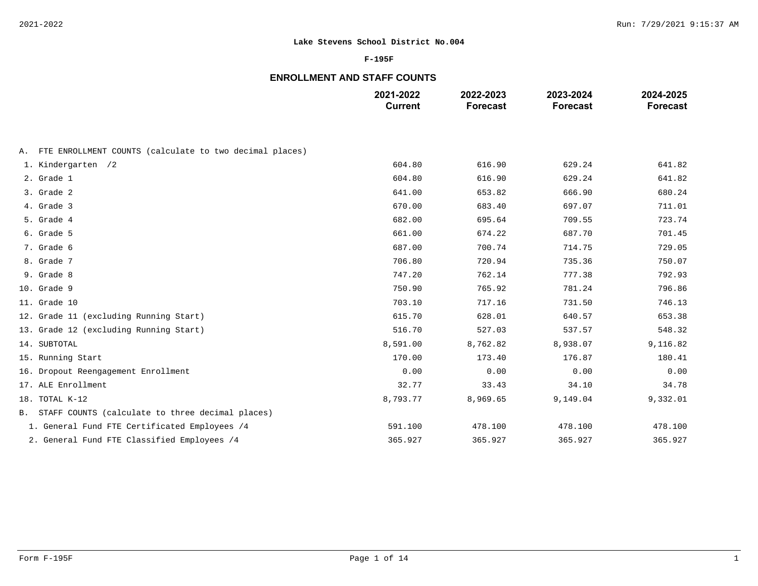### **F-195F**

# **ENROLLMENT AND STAFF COUNTS**

|                                                            | 2021-2022<br><b>Current</b> | 2022-2023<br><b>Forecast</b> | 2023-2024<br><b>Forecast</b> | 2024-2025<br><b>Forecast</b> |
|------------------------------------------------------------|-----------------------------|------------------------------|------------------------------|------------------------------|
|                                                            |                             |                              |                              |                              |
| A. FTE ENROLLMENT COUNTS (calculate to two decimal places) |                             |                              |                              |                              |
| 1. Kindergarten /2                                         | 604.80                      | 616.90                       | 629.24                       | 641.82                       |
| 2. Grade 1                                                 | 604.80                      | 616.90                       | 629.24                       | 641.82                       |
| 3. Grade 2                                                 | 641.00                      | 653.82                       | 666.90                       | 680.24                       |
| 4. Grade 3                                                 | 670.00                      | 683.40                       | 697.07                       | 711.01                       |
| 5. Grade 4                                                 | 682.00                      | 695.64                       | 709.55                       | 723.74                       |
| 6. Grade 5                                                 | 661.00                      | 674.22                       | 687.70                       | 701.45                       |
| 7. Grade 6                                                 | 687.00                      | 700.74                       | 714.75                       | 729.05                       |
| 8. Grade 7                                                 | 706.80                      | 720.94                       | 735.36                       | 750.07                       |
| 9. Grade 8                                                 | 747.20                      | 762.14                       | 777.38                       | 792.93                       |
| 10. Grade 9                                                | 750.90                      | 765.92                       | 781.24                       | 796.86                       |
| 11. Grade 10                                               | 703.10                      | 717.16                       | 731.50                       | 746.13                       |
| 12. Grade 11 (excluding Running Start)                     | 615.70                      | 628.01                       | 640.57                       | 653.38                       |
| 13. Grade 12 (excluding Running Start)                     | 516.70                      | 527.03                       | 537.57                       | 548.32                       |
| 14. SUBTOTAL                                               | 8,591.00                    | 8,762.82                     | 8,938.07                     | 9,116.82                     |
| 15. Running Start                                          | 170.00                      | 173.40                       | 176.87                       | 180.41                       |
| 16. Dropout Reengagement Enrollment                        | 0.00                        | 0.00                         | 0.00                         | 0.00                         |
| 17. ALE Enrollment                                         | 32.77                       | 33.43                        | 34.10                        | 34.78                        |
| 18. TOTAL K-12                                             | 8,793.77                    | 8,969.65                     | 9,149.04                     | 9,332.01                     |
| B. STAFF COUNTS (calculate to three decimal places)        |                             |                              |                              |                              |
| 1. General Fund FTE Certificated Employees /4              | 591.100                     | 478.100                      | 478.100                      | 478.100                      |
| 2. General Fund FTE Classified Employees /4                | 365.927                     | 365.927                      | 365.927                      | 365.927                      |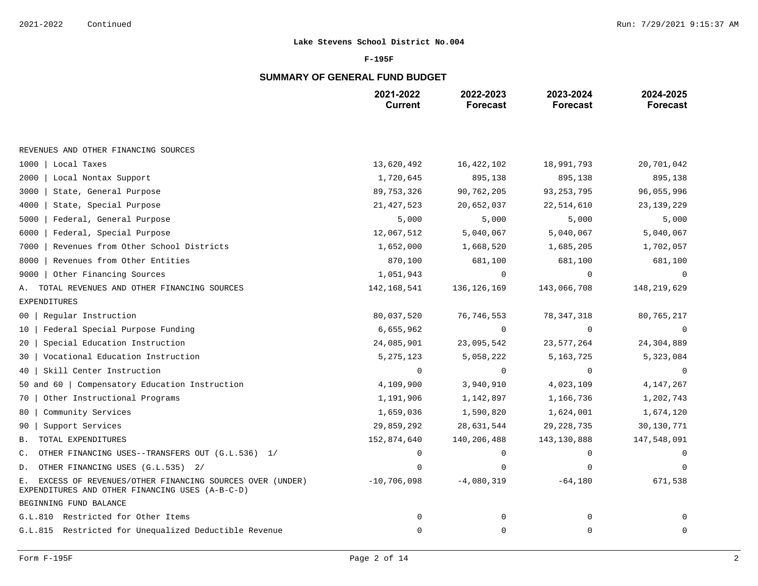### **F-195F**

# **SUMMARY OF GENERAL FUND BUDGET**

|                                                                                                                  | 2021-2022<br><b>Current</b> | 2022-2023<br><b>Forecast</b> | 2023-2024<br><b>Forecast</b> | 2024-2025<br><b>Forecast</b> |
|------------------------------------------------------------------------------------------------------------------|-----------------------------|------------------------------|------------------------------|------------------------------|
|                                                                                                                  |                             |                              |                              |                              |
| REVENUES AND OTHER FINANCING SOURCES                                                                             |                             |                              |                              |                              |
| 1000   Local Taxes                                                                                               | 13,620,492                  | 16, 422, 102                 | 18,991,793                   | 20,701,042                   |
| 2000<br>Local Nontax Support                                                                                     | 1,720,645                   | 895,138                      | 895,138                      | 895,138                      |
| State, General Purpose<br>3000                                                                                   | 89, 753, 326                | 90,762,205                   | 93, 253, 795                 | 96,055,996                   |
| State, Special Purpose<br>4000                                                                                   | 21, 427, 523                | 20,652,037                   | 22,514,610                   | 23,139,229                   |
| 5000<br>Federal, General Purpose                                                                                 | 5,000                       | 5,000                        | 5,000                        | 5,000                        |
| 6000<br>Federal, Special Purpose                                                                                 | 12,067,512                  | 5,040,067                    | 5,040,067                    | 5,040,067                    |
| Revenues from Other School Districts<br>7000                                                                     | 1,652,000                   | 1,668,520                    | 1,685,205                    | 1,702,057                    |
| Revenues from Other Entities<br>8000                                                                             | 870,100                     | 681,100                      | 681,100                      | 681,100                      |
| Other Financing Sources<br>9000                                                                                  | 1,051,943                   | 0                            | $\Omega$                     | $\Omega$                     |
| TOTAL REVENUES AND OTHER FINANCING SOURCES<br>Α.                                                                 | 142, 168, 541               | 136, 126, 169                | 143,066,708                  | 148,219,629                  |
| <b>EXPENDITURES</b>                                                                                              |                             |                              |                              |                              |
| Regular Instruction<br>00                                                                                        | 80,037,520                  | 76, 746, 553                 | 78, 347, 318                 | 80,765,217                   |
| Federal Special Purpose Funding<br>10                                                                            | 6,655,962                   | 0                            | 0                            | 0                            |
| Special Education Instruction<br>20                                                                              | 24,085,901                  | 23,095,542                   | 23,577,264                   | 24,304,889                   |
| Vocational Education Instruction<br>30                                                                           | 5, 275, 123                 | 5,058,222                    | 5, 163, 725                  | 5,323,084                    |
| Skill Center Instruction<br>40                                                                                   | 0                           | $\mathbf 0$                  | 0                            | 0                            |
| 50 and 60   Compensatory Education Instruction                                                                   | 4,109,900                   | 3,940,910                    | 4,023,109                    | 4, 147, 267                  |
| Other Instructional Programs<br>70                                                                               | 1,191,906                   | 1,142,897                    | 1,166,736                    | 1,202,743                    |
| Community Services<br>80                                                                                         | 1,659,036                   | 1,590,820                    | 1,624,001                    | 1,674,120                    |
| Support Services<br>90                                                                                           | 29,859,292                  | 28,631,544                   | 29, 228, 735                 | 30,130,771                   |
| TOTAL EXPENDITURES<br>Β.                                                                                         | 152,874,640                 | 140,206,488                  | 143, 130, 888                | 147,548,091                  |
| OTHER FINANCING USES--TRANSFERS OUT (G.L.536) 1/<br>C.                                                           | $\Omega$                    | $\Omega$                     | $\Omega$                     | $\Omega$                     |
| OTHER FINANCING USES (G.L.535) 2/<br>D.                                                                          |                             | $\Omega$                     |                              | $\Omega$                     |
| EXCESS OF REVENUES/OTHER FINANCING SOURCES OVER (UNDER)<br>Ε.<br>EXPENDITURES AND OTHER FINANCING USES (A-B-C-D) | $-10,706,098$               | $-4,080,319$                 | $-64,180$                    | 671,538                      |
| BEGINNING FUND BALANCE                                                                                           |                             |                              |                              |                              |
| G.L.810 Restricted for Other Items                                                                               | $\mathbf 0$                 | 0                            | $\mathbf{0}$                 |                              |
| G.L.815 Restricted for Unequalized Deductible Revenue                                                            | 0                           | 0                            | 0                            | 0                            |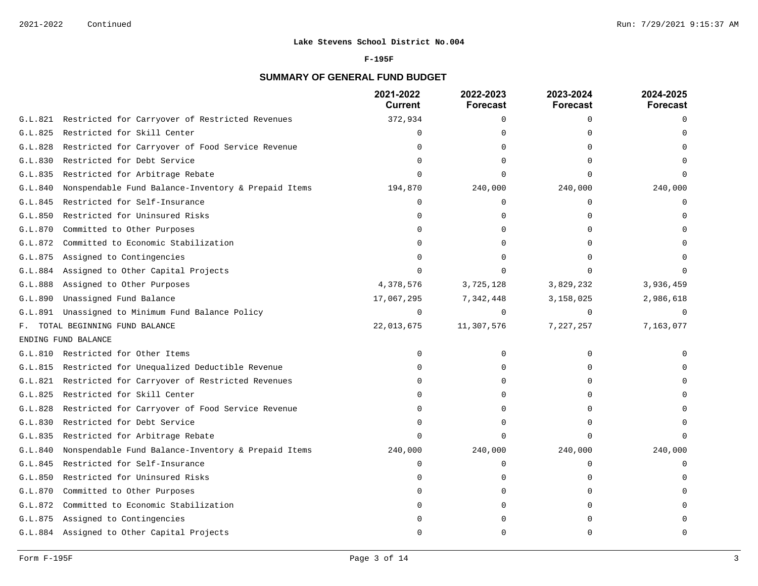### **F-195F**

# **SUMMARY OF GENERAL FUND BUDGET**

|         |                                                     | 2021-2022<br><b>Current</b> | 2022-2023<br><b>Forecast</b> | 2023-2024<br><b>Forecast</b> | 2024-2025<br>Forecast |
|---------|-----------------------------------------------------|-----------------------------|------------------------------|------------------------------|-----------------------|
| G.L.821 | Restricted for Carryover of Restricted Revenues     | 372,934                     | 0                            | 0                            | $\Omega$              |
| G.L.825 | Restricted for Skill Center                         | $\Omega$                    | $\Omega$                     |                              |                       |
| G.L.828 | Restricted for Carryover of Food Service Revenue    | $\Omega$                    | $\Omega$                     |                              |                       |
| G.L.830 | Restricted for Debt Service                         | $\Omega$                    | ∩                            |                              |                       |
| G.L.835 | Restricted for Arbitrage Rebate                     | ∩                           | ∩                            | $\cap$                       |                       |
| G.L.840 | Nonspendable Fund Balance-Inventory & Prepaid Items | 194,870                     | 240,000                      | 240,000                      | 240,000               |
| G.L.845 | Restricted for Self-Insurance                       | $\Omega$                    | $\Omega$                     | $\Omega$                     | $\Omega$              |
| G.L.850 | Restricted for Uninsured Risks                      | n                           | <sup>0</sup>                 | ∩                            |                       |
| G.L.870 | Committed to Other Purposes                         | $\Omega$                    | $\Omega$                     |                              |                       |
| G.L.872 | Committed to Economic Stabilization                 |                             | $\Omega$                     |                              |                       |
| G.L.875 | Assigned to Contingencies                           | ∩                           | $\Omega$                     |                              |                       |
| G.L.884 | Assigned to Other Capital Projects                  | $\Omega$                    | $\Omega$                     |                              |                       |
| G.L.888 | Assigned to Other Purposes                          | 4,378,576                   | 3,725,128                    | 3,829,232                    | 3,936,459             |
| G.L.890 | Unassigned Fund Balance                             | 17,067,295                  | 7,342,448                    | 3,158,025                    | 2,986,618             |
| G.L.891 | Unassigned to Minimum Fund Balance Policy           | $\Omega$                    | $\Omega$                     | $\Omega$                     |                       |
|         | F. TOTAL BEGINNING FUND BALANCE                     | 22,013,675                  | 11,307,576                   | 7,227,257                    | 7,163,077             |
|         | ENDING FUND BALANCE                                 |                             |                              |                              |                       |
| G.L.810 | Restricted for Other Items                          | $\Omega$                    | 0                            | $\Omega$                     |                       |
| G.L.815 | Restricted for Unequalized Deductible Revenue       | U                           | $\Omega$                     |                              |                       |
| G.L.821 | Restricted for Carryover of Restricted Revenues     | U                           | $\Omega$                     | ∩                            |                       |
| G.L.825 | Restricted for Skill Center                         | <sup>0</sup>                | 0                            | $\Omega$                     |                       |
| G.L.828 | Restricted for Carryover of Food Service Revenue    | $\Omega$                    | $\Omega$                     | ∩                            |                       |
| G.L.830 | Restricted for Debt Service                         | U                           | $\Omega$                     |                              |                       |
| G.L.835 | Restricted for Arbitrage Rebate                     |                             | $\Omega$                     | $\Omega$                     |                       |
| G.L.840 | Nonspendable Fund Balance-Inventory & Prepaid Items | 240,000                     | 240,000                      | 240,000                      | 240,000               |
| G.L.845 | Restricted for Self-Insurance                       | $\Omega$                    | 0                            | $\Omega$                     | $\Omega$              |
| G.L.850 | Restricted for Uninsured Risks                      |                             | 0                            | ∩                            |                       |
| G.L.870 | Committed to Other Purposes                         |                             | 0                            | <sup>0</sup>                 |                       |
| G.L.872 | Committed to Economic Stabilization                 |                             | $\Omega$                     |                              |                       |
| G.L.875 | Assigned to Contingencies                           |                             | $\Omega$                     |                              |                       |
|         | G.L.884 Assigned to Other Capital Projects          | ∩                           | $\Omega$                     | ∩                            | $\cap$                |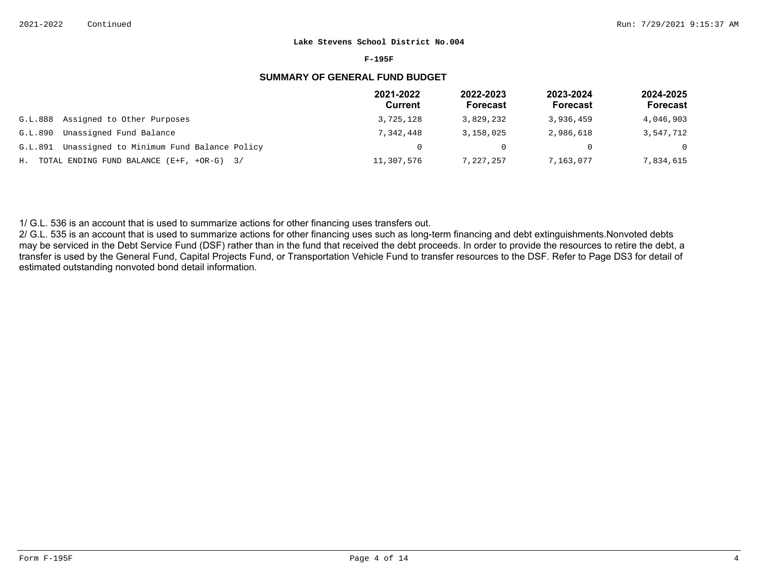#### **F-195F**

# **SUMMARY OF GENERAL FUND BUDGET**

|         |                                                | 2021-2022<br><b>Current</b> | 2022-2023<br><b>Forecast</b> | 2023-2024<br>Forecast | 2024-2025<br>Forecast |
|---------|------------------------------------------------|-----------------------------|------------------------------|-----------------------|-----------------------|
| G.L.888 | Assigned to Other Purposes                     | 3,725,128                   | 3,829,232                    | 3,936,459             | 4,046,903             |
| G.L.890 | Unassigned Fund Balance                        | 7,342,448                   | 3,158,025                    | 2,986,618             | 3,547,712             |
| G.L.891 | Unassigned to Minimum Fund Balance Policy      |                             | 0                            |                       | $\Omega$              |
|         | H. TOTAL ENDING FUND BALANCE $(E+F, +OR-G)$ 3/ | 11,307,576                  | 7,227,257                    | 7,163,077             | 7,834,615             |

1/ G.L. 536 is an account that is used to summarize actions for other financing uses transfers out.

2/ G.L. 535 is an account that is used to summarize actions for other financing uses such as long-term financing and debt extinguishments. Nonvoted debts may be serviced in the Debt Service Fund (DSF) rather than in the fund that received the debt proceeds. In order to provide the resources to retire the debt, a transfer is used by the General Fund, Capital Projects Fund, or Transportation Vehicle Fund to transfer resources to the DSF. Refer to Page DS3 for detail of estimated outstanding nonvoted bond detail information.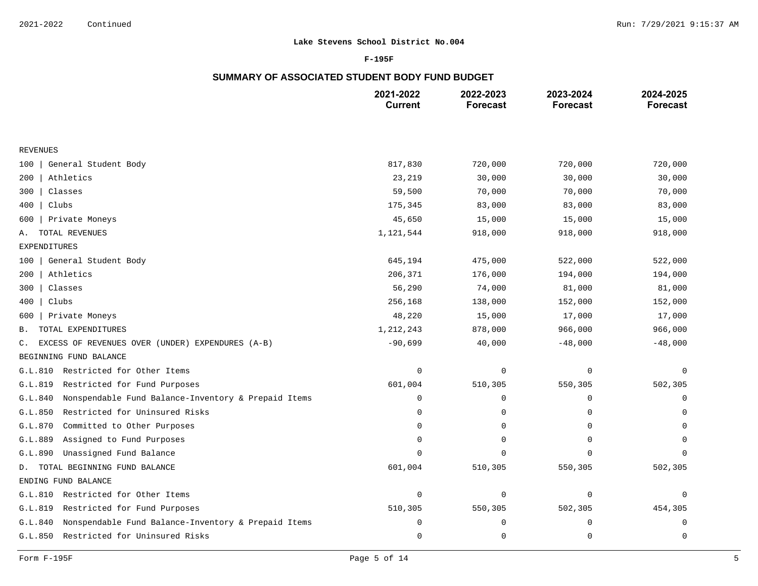### **F-195F**

# **SUMMARY OF ASSOCIATED STUDENT BODY FUND BUDGET**

|                                                                | 2021-2022<br><b>Current</b> | 2022-2023<br><b>Forecast</b> | 2023-2024<br><b>Forecast</b> | 2024-2025<br><b>Forecast</b> |
|----------------------------------------------------------------|-----------------------------|------------------------------|------------------------------|------------------------------|
|                                                                |                             |                              |                              |                              |
| <b>REVENUES</b>                                                |                             |                              |                              |                              |
| General Student Body<br>100                                    | 817,830                     | 720,000                      | 720,000                      | 720,000                      |
| Athletics<br>200                                               | 23,219                      | 30,000                       | 30,000                       | 30,000                       |
| Classes<br>300                                                 | 59,500                      | 70,000                       | 70,000                       | 70,000                       |
| Clubs<br>400                                                   | 175,345                     | 83,000                       | 83,000                       | 83,000                       |
| Private Moneys<br>600                                          | 45,650                      | 15,000                       | 15,000                       | 15,000                       |
| TOTAL REVENUES<br>Α.                                           | 1,121,544                   | 918,000                      | 918,000                      | 918,000                      |
| <b>EXPENDITURES</b>                                            |                             |                              |                              |                              |
| General Student Body<br>100                                    | 645,194                     | 475,000                      | 522,000                      | 522,000                      |
| Athletics<br>200                                               | 206,371                     | 176,000                      | 194,000                      | 194,000                      |
| Classes<br>300                                                 | 56,290                      | 74,000                       | 81,000                       | 81,000                       |
| Clubs<br>400                                                   | 256,168                     | 138,000                      | 152,000                      | 152,000                      |
| Private Moneys<br>600                                          | 48,220                      | 15,000                       | 17,000                       | 17,000                       |
| TOTAL EXPENDITURES<br><b>B.</b>                                | 1, 212, 243                 | 878,000                      | 966,000                      | 966,000                      |
| EXCESS OF REVENUES OVER (UNDER) EXPENDURES (A-B)<br>C.         | $-90,699$                   | 40,000                       | $-48,000$                    | $-48,000$                    |
| BEGINNING FUND BALANCE                                         |                             |                              |                              |                              |
| Restricted for Other Items<br>G.L.810                          | $\mathbf 0$                 | 0                            | 0                            | 0                            |
| Restricted for Fund Purposes<br>G.L.819                        | 601,004                     | 510,305                      | 550,305                      | 502,305                      |
| Nonspendable Fund Balance-Inventory & Prepaid Items<br>G.L.840 | 0                           | 0                            | 0                            | 0                            |
| Restricted for Uninsured Risks<br>G.L.850                      | $\Omega$                    | 0                            | 0                            | 0                            |
| G.L.870<br>Committed to Other Purposes                         | $\Omega$                    | 0                            | $\Omega$                     | $\Omega$                     |
| Assigned to Fund Purposes<br>G.L.889                           | $\Omega$                    | 0                            | $\Omega$                     | O                            |
| Unassigned Fund Balance<br>G.L.890                             | $\Omega$                    | 0                            | $\Omega$                     | $\Omega$                     |
| D. TOTAL BEGINNING FUND BALANCE                                | 601,004                     | 510,305                      | 550,305                      | 502,305                      |
| ENDING FUND BALANCE                                            |                             |                              |                              |                              |
| Restricted for Other Items<br>G.L.810                          | $\mathbf 0$                 | 0                            | $\mathbf 0$                  | 0                            |
| Restricted for Fund Purposes<br>G.L.819                        | 510,305                     | 550,305                      | 502,305                      | 454,305                      |
| Nonspendable Fund Balance-Inventory & Prepaid Items<br>G.L.840 | 0                           | 0                            | 0                            | 0                            |
| G.L.850<br>Restricted for Uninsured Risks                      | $\mathsf 0$                 | $\mathsf{O}$                 | 0                            | $\mathbf 0$                  |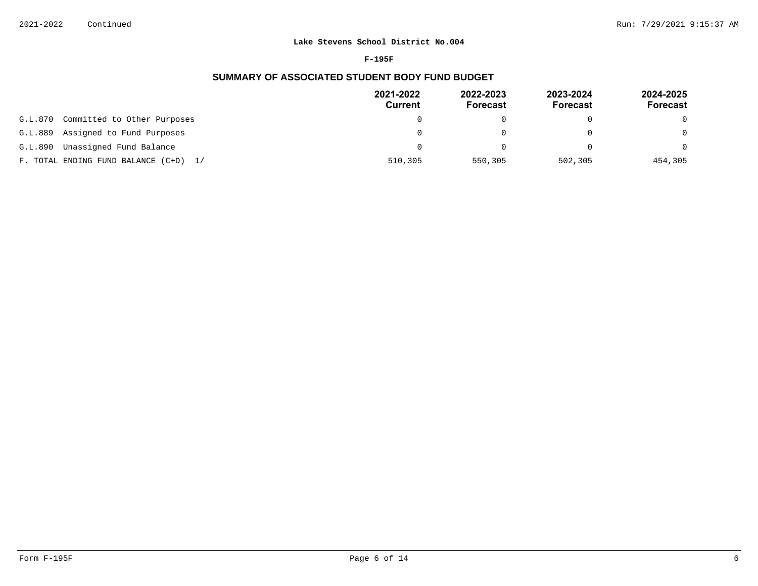#### **F-195F**

# **SUMMARY OF ASSOCIATED STUDENT BODY FUND BUDGET**

|                                        | 2021-2022<br><b>Current</b> | 2022-2023<br><b>Forecast</b> | 2023-2024<br><b>Forecast</b> | 2024-2025<br>Forecast |
|----------------------------------------|-----------------------------|------------------------------|------------------------------|-----------------------|
| Committed to Other Purposes<br>G.L.870 | 0                           |                              |                              | $\Omega$              |
| Assigned to Fund Purposes<br>G.L.889   | 0                           |                              |                              | $\Omega$              |
| Unassigned Fund Balance<br>G.L.890     | 0                           |                              | $\cap$                       | $\Omega$              |
| F. TOTAL ENDING FUND BALANCE (C+D) 1/  | 510,305                     | 550,305                      | 502,305                      | 454,305               |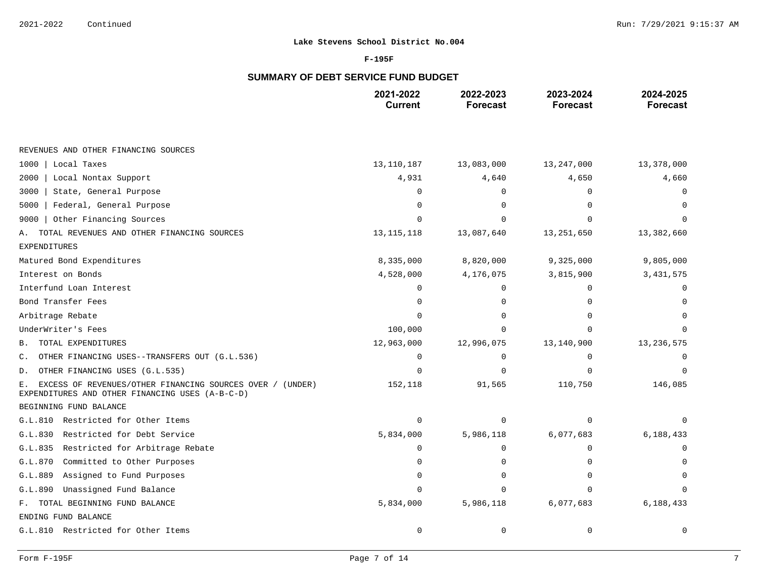### **F-195F**

# **SUMMARY OF DEBT SERVICE FUND BUDGET**

|                                                                                                                    | 2021-2022<br><b>Current</b> | 2022-2023<br><b>Forecast</b> | 2023-2024<br><b>Forecast</b> | 2024-2025<br><b>Forecast</b> |
|--------------------------------------------------------------------------------------------------------------------|-----------------------------|------------------------------|------------------------------|------------------------------|
|                                                                                                                    |                             |                              |                              |                              |
| REVENUES AND OTHER FINANCING SOURCES                                                                               |                             |                              |                              |                              |
| Local Taxes<br>1000                                                                                                | 13,110,187                  | 13,083,000                   | 13,247,000                   | 13,378,000                   |
| 2000<br>Local Nontax Support                                                                                       | 4,931                       | 4,640                        | 4,650                        | 4,660                        |
| 3000<br>State, General Purpose                                                                                     | O                           | $\Omega$                     | <sup>0</sup>                 |                              |
| Federal, General Purpose<br>5000                                                                                   | $\Omega$                    | O                            |                              |                              |
| Other Financing Sources<br>9000                                                                                    | ∩                           | U                            |                              |                              |
| TOTAL REVENUES AND OTHER FINANCING SOURCES<br>Α.                                                                   | 13, 115, 118                | 13,087,640                   | 13, 251, 650                 | 13,382,660                   |
| EXPENDITURES                                                                                                       |                             |                              |                              |                              |
| Matured Bond Expenditures                                                                                          | 8,335,000                   | 8,820,000                    | 9,325,000                    | 9,805,000                    |
| Interest on Bonds                                                                                                  | 4,528,000                   | 4,176,075                    | 3,815,900                    | 3, 431, 575                  |
| Interfund Loan Interest                                                                                            | $\Omega$                    | O                            | ∩                            | 0                            |
| Bond Transfer Fees                                                                                                 | O                           | O                            | $\Omega$                     | O                            |
| Arbitrage Rebate                                                                                                   | U                           |                              |                              |                              |
| UnderWriter's Fees                                                                                                 | 100,000                     | $\cap$                       | ∩                            |                              |
| TOTAL EXPENDITURES<br>В.                                                                                           | 12,963,000                  | 12,996,075                   | 13,140,900                   | 13, 236, 575                 |
| OTHER FINANCING USES--TRANSFERS OUT (G.L.536)<br>$\mathsf{C}$ .                                                    | $\Omega$                    | $\Omega$                     | $\Omega$                     |                              |
| OTHER FINANCING USES (G.L.535)<br>D.                                                                               | O                           | $\Omega$                     | $\Omega$                     |                              |
| EXCESS OF REVENUES/OTHER FINANCING SOURCES OVER / (UNDER)<br>Е.<br>EXPENDITURES AND OTHER FINANCING USES (A-B-C-D) | 152,118                     | 91,565                       | 110,750                      | 146,085                      |
| BEGINNING FUND BALANCE                                                                                             |                             |                              |                              |                              |
| G.L.810 Restricted for Other Items                                                                                 | 0                           | $\Omega$                     | $\cap$                       | 0                            |
| G.L.830<br>Restricted for Debt Service                                                                             | 5,834,000                   | 5,986,118                    | 6,077,683                    | 6,188,433                    |
| G.L.835<br>Restricted for Arbitrage Rebate                                                                         | 0                           | $\mathbf 0$                  | 0                            | O                            |
| G.L.870<br>Committed to Other Purposes                                                                             | $\Omega$                    | $\Omega$                     | ∩                            |                              |
| Assigned to Fund Purposes<br>G.L.889                                                                               |                             | U                            | ∩                            |                              |
| Unassigned Fund Balance<br>G.L.890                                                                                 | U                           | $\Omega$                     | $\Omega$                     |                              |
| F. TOTAL BEGINNING FUND BALANCE                                                                                    | 5,834,000                   | 5,986,118                    | 6,077,683                    | 6,188,433                    |
| ENDING FUND BALANCE                                                                                                |                             |                              |                              |                              |
| G.L.810 Restricted for Other Items                                                                                 | 0                           | $\mathbf 0$                  | 0                            | 0                            |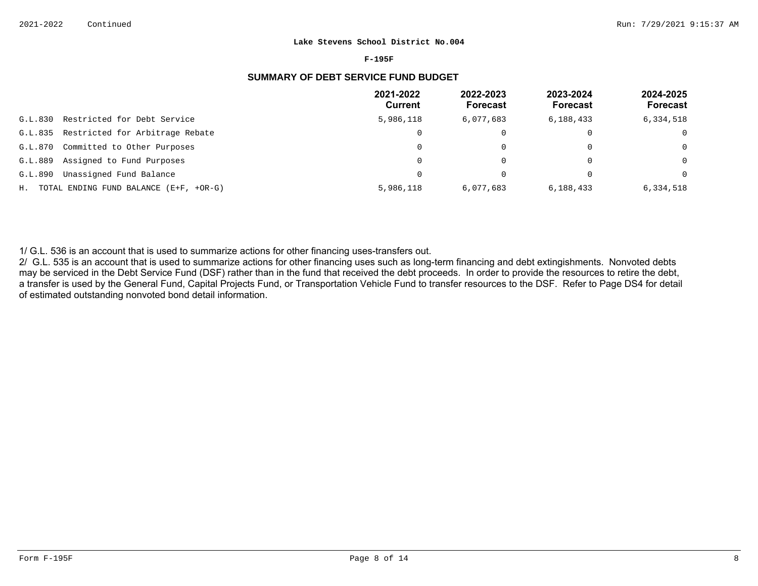#### **F-195F**

# **SUMMARY OF DEBT SERVICE FUND BUDGET**

|         |                                           | 2021-2022<br>Current | 2022-2023<br><b>Forecast</b> | 2023-2024<br><b>Forecast</b> | 2024-2025<br><b>Forecast</b> |
|---------|-------------------------------------------|----------------------|------------------------------|------------------------------|------------------------------|
| G.L.830 | Restricted for Debt Service               | 5,986,118            | 6,077,683                    | 6,188,433                    | 6,334,518                    |
| G.L.835 | Restricted for Arbitrage Rebate           | $\mathbf{0}$         |                              | $\Omega$                     | 0                            |
| G.L.870 | Committed to Other Purposes               | 0                    |                              | $\Omega$                     | $\Omega$                     |
| G.L.889 | Assigned to Fund Purposes                 | 0                    |                              | 0                            | $\Omega$                     |
| G.L.890 | Unassigned Fund Balance                   | 0                    |                              |                              | $\Omega$                     |
|         | H. TOTAL ENDING FUND BALANCE (E+F, +OR-G) | 5,986,118            | 6,077,683                    | 6,188,433                    | 6,334,518                    |

1/ G.L. 536 is an account that is used to summarize actions for other financing uses-transfers out.

2/ G.L. 535 is an account that is used to summarize actions for other financing uses such as long-term financing and debt extingishments. Nonvoted debts may be serviced in the Debt Service Fund (DSF) rather than in the fund that received the debt proceeds. In order to provide the resources to retire the debt, a transfer is used by the General Fund, Capital Projects Fund, or Transportation Vehicle Fund to transfer resources to the DSF. Refer to Page DS4 for detail of estimated outstanding nonvoted bond detail information.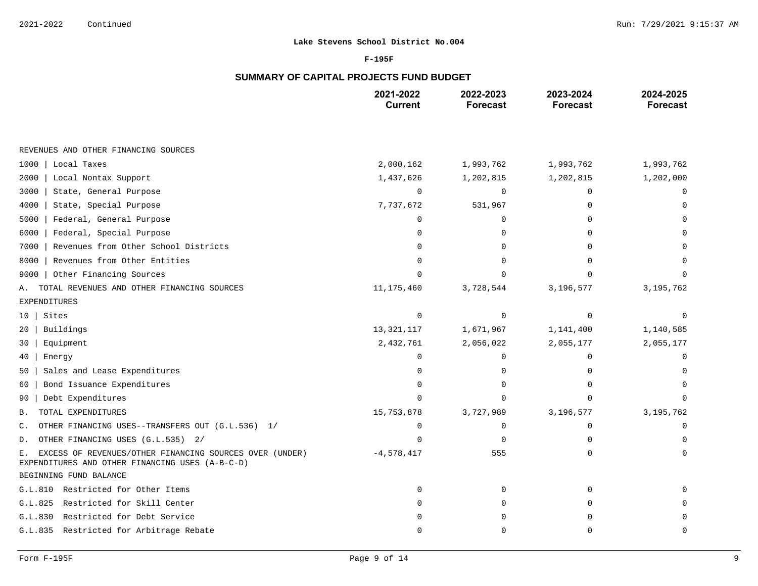### **F-195F**

# **SUMMARY OF CAPITAL PROJECTS FUND BUDGET**

|                                                                                                                  | 2021-2022<br><b>Current</b> | 2022-2023<br><b>Forecast</b> | 2023-2024<br><b>Forecast</b> | 2024-2025<br><b>Forecast</b> |
|------------------------------------------------------------------------------------------------------------------|-----------------------------|------------------------------|------------------------------|------------------------------|
|                                                                                                                  |                             |                              |                              |                              |
| REVENUES AND OTHER FINANCING SOURCES                                                                             |                             |                              |                              |                              |
| 1000<br>Local Taxes                                                                                              | 2,000,162                   | 1,993,762                    | 1,993,762                    | 1,993,762                    |
| 2000<br>Local Nontax Support                                                                                     | 1,437,626                   | 1,202,815                    | 1,202,815                    | 1,202,000                    |
| 3000<br>State, General Purpose                                                                                   | $\Omega$                    | $\Omega$                     | $\Omega$                     | ∩                            |
| 4000<br>State, Special Purpose                                                                                   | 7,737,672                   | 531,967                      | ∩                            |                              |
| 5000<br>Federal, General Purpose                                                                                 | $\Omega$                    | $\Omega$                     | ∩                            |                              |
| Federal, Special Purpose<br>6000                                                                                 | $\Omega$                    | $\Omega$                     | ∩                            |                              |
| Revenues from Other School Districts<br>7000                                                                     | O                           | $\Omega$                     | ∩                            |                              |
| Revenues from Other Entities<br>8000                                                                             | $\Omega$                    | $\Omega$                     | $\Omega$                     |                              |
| Other Financing Sources<br>9000                                                                                  |                             | $\cap$                       |                              |                              |
| TOTAL REVENUES AND OTHER FINANCING SOURCES<br>Α.                                                                 | 11, 175, 460                | 3,728,544                    | 3,196,577                    | 3, 195, 762                  |
| <b>EXPENDITURES</b>                                                                                              |                             |                              |                              |                              |
| Sites<br>10 <sup>1</sup>                                                                                         | $\mathbf 0$                 | $\Omega$                     | $\Omega$                     | ∩                            |
| Buildings<br>20                                                                                                  | 13, 321, 117                | 1,671,967                    | 1,141,400                    | 1,140,585                    |
| Equipment<br>30                                                                                                  | 2,432,761                   | 2,056,022                    | 2,055,177                    | 2,055,177                    |
| 40<br>Energy                                                                                                     | $\Omega$                    | $\mathbf 0$                  | $\mathbf 0$                  | ∩                            |
| Sales and Lease Expenditures<br>50                                                                               | O                           | 0                            | $\Omega$                     |                              |
| Bond Issuance Expenditures<br>60                                                                                 | $\Omega$                    | 0                            | $\Omega$                     |                              |
| Debt Expenditures<br>90                                                                                          | U                           | $\cap$                       | ∩                            |                              |
| TOTAL EXPENDITURES<br>Β.                                                                                         | 15,753,878                  | 3,727,989                    | 3,196,577                    | 3, 195, 762                  |
| OTHER FINANCING USES--TRANSFERS OUT (G.L.536) 1/<br>$\mathsf{C}$ .                                               | $\Omega$                    | 0                            | $\Omega$                     | $\Omega$                     |
| OTHER FINANCING USES (G.L.535) 2/<br>D.                                                                          | $\cap$                      | $\mathbf 0$                  | $\Omega$                     | $\Omega$                     |
| EXCESS OF REVENUES/OTHER FINANCING SOURCES OVER (UNDER)<br>Е.<br>EXPENDITURES AND OTHER FINANCING USES (A-B-C-D) | $-4,578,417$                | 555                          | $\Omega$                     | $\Omega$                     |
| BEGINNING FUND BALANCE                                                                                           |                             |                              |                              |                              |
| G.L.810 Restricted for Other Items                                                                               | $\Omega$                    | 0                            | $\Omega$                     |                              |
| Restricted for Skill Center<br>G.L.825                                                                           | O                           | 0                            | $\Omega$                     |                              |
| G.L.830 Restricted for Debt Service                                                                              | ∩                           | $\cap$                       | ∩                            |                              |
| G.L.835 Restricted for Arbitrage Rebate                                                                          | O                           | $\Omega$                     | $\Omega$                     | $\Omega$                     |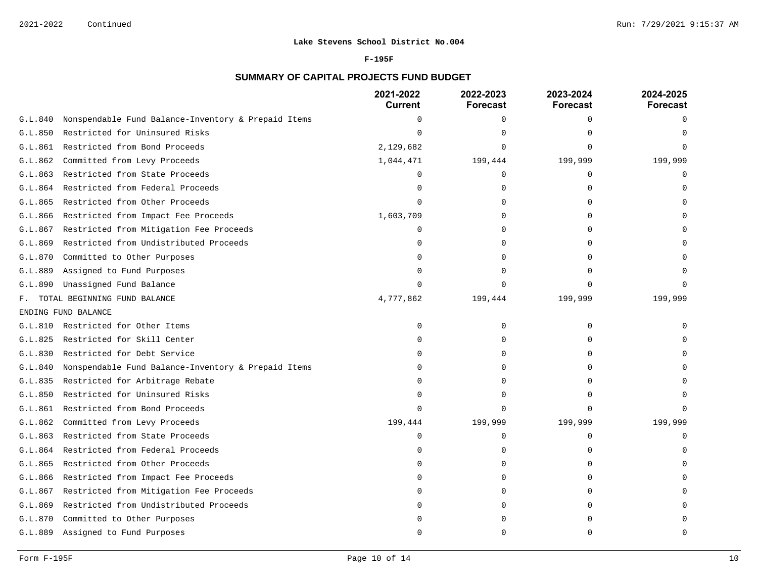### **F-195F**

# **SUMMARY OF CAPITAL PROJECTS FUND BUDGET**

|         |                                                     | 2021-2022<br><b>Current</b> | 2022-2023<br><b>Forecast</b> | 2023-2024<br><b>Forecast</b> | 2024-2025<br><b>Forecast</b> |
|---------|-----------------------------------------------------|-----------------------------|------------------------------|------------------------------|------------------------------|
| G.L.840 | Nonspendable Fund Balance-Inventory & Prepaid Items | $\Omega$                    | 0                            | 0                            | $\Omega$                     |
| G.L.850 | Restricted for Uninsured Risks                      | $\Omega$                    | ∩                            |                              |                              |
| G.L.861 | Restricted from Bond Proceeds                       | 2,129,682                   | $\Omega$                     |                              |                              |
| G.L.862 | Committed from Levy Proceeds                        | 1,044,471                   | 199,444                      | 199,999                      | 199,999                      |
| G.L.863 | Restricted from State Proceeds                      | $\cap$                      | 0                            | $\Omega$                     |                              |
| G.L.864 | Restricted from Federal Proceeds                    | U                           | 0                            | $\cap$                       |                              |
| G.L.865 | Restricted from Other Proceeds                      |                             | 0                            |                              |                              |
| G.L.866 | Restricted from Impact Fee Proceeds                 | 1,603,709                   | $\Omega$                     | ∩                            |                              |
| G.L.867 | Restricted from Mitigation Fee Proceeds             | $\Omega$                    | 0                            |                              |                              |
| G.L.869 | Restricted from Undistributed Proceeds              | O                           | $\Omega$                     |                              |                              |
| G.L.870 | Committed to Other Purposes                         | ∩                           | $\Omega$                     | ∩                            |                              |
| G.L.889 | Assigned to Fund Purposes                           | ∩                           | <sup>0</sup>                 |                              |                              |
| G.L.890 | Unassigned Fund Balance                             |                             | $\Omega$                     |                              |                              |
| F.,     | TOTAL BEGINNING FUND BALANCE                        | 4,777,862                   | 199,444                      | 199,999                      | 199,999                      |
|         | ENDING FUND BALANCE                                 |                             |                              |                              |                              |
| G.L.810 | Restricted for Other Items                          | 0                           | 0                            | $\Omega$                     |                              |
| G.L.825 | Restricted for Skill Center                         | U                           | 0                            | $\cap$                       |                              |
| G.L.830 | Restricted for Debt Service                         | $\Omega$                    | $\Omega$                     | $\Omega$                     |                              |
| G.L.840 | Nonspendable Fund Balance-Inventory & Prepaid Items | $\cap$                      | $\Omega$                     |                              |                              |
| G.L.835 | Restricted for Arbitrage Rebate                     |                             | $\Omega$                     |                              |                              |
| G.L.850 | Restricted for Uninsured Risks                      | ∩                           | $\Omega$                     | ∩                            |                              |
| G.L.861 | Restricted from Bond Proceeds                       | $\Omega$                    | $\Omega$                     | $\cap$                       |                              |
| G.L.862 | Committed from Levy Proceeds                        | 199,444                     | 199,999                      | 199,999                      | 199,999                      |
| G.L.863 | Restricted from State Proceeds                      | $\Omega$                    | 0                            | $\Omega$                     |                              |
| G.L.864 | Restricted from Federal Proceeds                    | $\Omega$                    | 0                            | $\Omega$                     |                              |
| G.L.865 | Restricted from Other Proceeds                      | $\cap$                      | 0                            | ∩                            |                              |
| G.L.866 | Restricted from Impact Fee Proceeds                 |                             | $\Omega$                     |                              |                              |
| G.L.867 | Restricted from Mitigation Fee Proceeds             | O                           | 0                            | $\Omega$                     |                              |
| G.L.869 | Restricted from Undistributed Proceeds              | <sup>0</sup>                | $\Omega$                     | $\Omega$                     |                              |
| G.L.870 | Committed to Other Purposes                         |                             | ∩                            |                              |                              |
| G.L.889 | Assigned to Fund Purposes                           |                             | $\Omega$                     |                              |                              |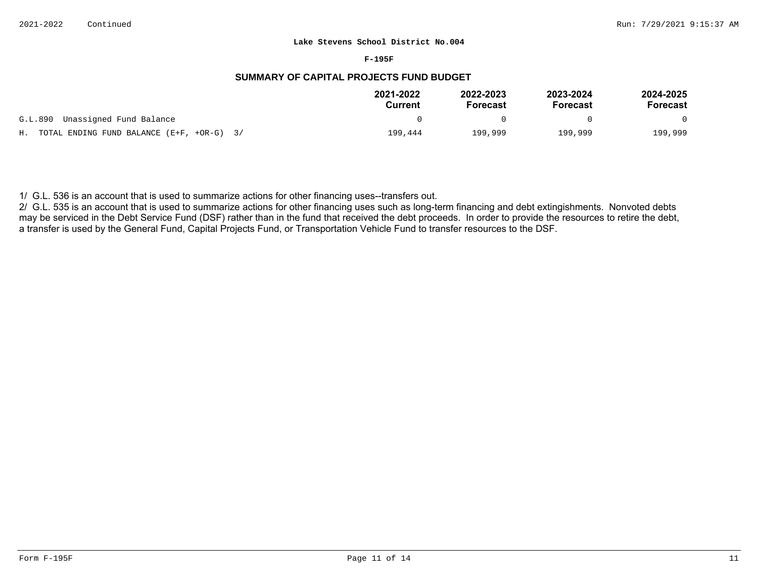#### **F-195F**

# **SUMMARY OF CAPITAL PROJECTS FUND BUDGET**

|                                                | 2021-2022<br>Current | 2022-2023<br><b>Forecast</b> | 2023-2024<br>Forecast | 2024-2025<br>Forecast |
|------------------------------------------------|----------------------|------------------------------|-----------------------|-----------------------|
| G.L.890 Unassigned Fund Balance                |                      |                              |                       |                       |
| H. TOTAL ENDING FUND BALANCE $(E+F, +OR-G)$ 3/ | 199,444              | 199,999                      | 199,999               | 199,999               |

1/ G.L. 536 is an account that is used to summarize actions for other financing uses--transfers out.

2/ G.L. 535 is an account that is used to summarize actions for other financing uses such as long-term financing and debt extingishments. Nonvoted debts may be serviced in the Debt Service Fund (DSF) rather than in the fund that received the debt proceeds. In order to provide the resources to retire the debt, a transfer is used by the General Fund, Capital Projects Fund, or Transportation Vehicle Fund to transfer resources to the DSF.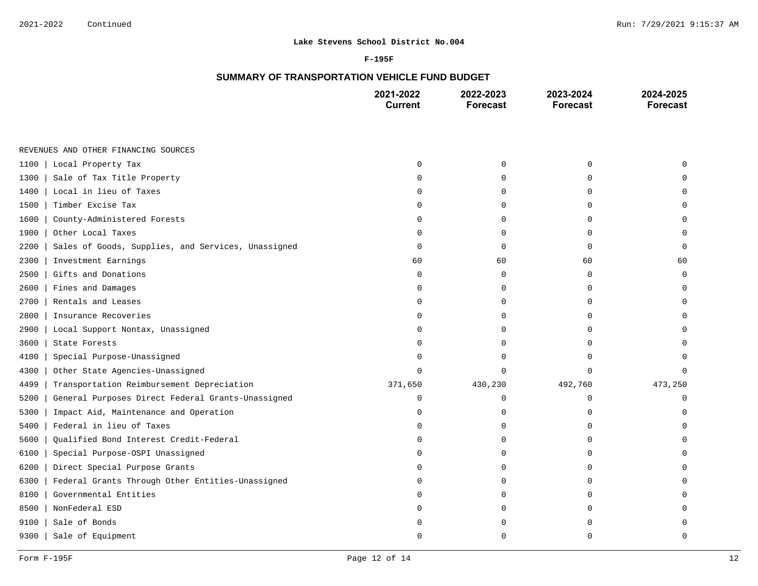#### **F-195F**

# **SUMMARY OF TRANSPORTATION VEHICLE FUND BUDGET**

|                                                            | 2021-2022<br><b>Current</b> | 2022-2023<br>Forecast | 2023-2024<br><b>Forecast</b> | 2024-2025<br><b>Forecast</b> |
|------------------------------------------------------------|-----------------------------|-----------------------|------------------------------|------------------------------|
|                                                            |                             |                       |                              |                              |
| REVENUES AND OTHER FINANCING SOURCES                       |                             |                       |                              |                              |
| 1100<br>Local Property Tax                                 | $\Omega$                    | $\mathbf 0$           | $\mathbf 0$                  |                              |
| 1300<br>Sale of Tax Title Property                         | $\Omega$                    | 0                     | $\Omega$                     |                              |
| Local in lieu of Taxes<br>1400                             | 0                           | $\mathbf 0$           | $\Omega$                     |                              |
| Timber Excise Tax<br>1500                                  | 0                           | 0                     | 0                            | U                            |
| County-Administered Forests<br>1600                        | O                           | $\Omega$              | $\Omega$                     | ∩                            |
| 1900<br>Other Local Taxes                                  | 0                           | 0                     | $\Omega$                     | O                            |
| 2200<br>Sales of Goods, Supplies, and Services, Unassigned | 0                           | $\mathbf 0$           | $\Omega$                     | $\Omega$                     |
| 2300<br>Investment Earnings                                | 60                          | 60                    | 60                           | 60                           |
| Gifts and Donations<br>2500                                | 0                           | $\mathbf 0$           | $\mathbf 0$                  | $\mathbf 0$                  |
| Fines and Damages<br>2600                                  | $\Omega$                    | 0                     | $\mathbf 0$                  | 0                            |
| Rentals and Leases<br>2700                                 | 0                           | 0                     | 0                            | U                            |
| 2800<br>Insurance Recoveries                               | O                           | $\Omega$              | U                            |                              |
| 2900<br>Local Support Nontax, Unassigned                   | O                           | 0                     | O                            |                              |
| 3600<br>State Forests                                      | 0                           | $\mathbf 0$           | $\Omega$                     |                              |
| Special Purpose-Unassigned<br>4100                         | O                           | 0                     | $\Omega$                     |                              |
| 4300<br>Other State Agencies-Unassigned                    | $\Omega$                    | $\Omega$              | $\Omega$                     | 0                            |
| 4499<br>Transportation Reimbursement Depreciation          | 371,650                     | 430,230               | 492,760                      | 473,250                      |
| General Purposes Direct Federal Grants-Unassigned<br>5200  | 0                           | 0                     | 0                            | O                            |
| 5300<br>Impact Aid, Maintenance and Operation              | 0                           | $\Omega$              | U                            | U                            |
| Federal in lieu of Taxes<br>5400                           | O                           | $\mathbf 0$           | O                            |                              |
| 5600<br>Qualified Bond Interest Credit-Federal             | 0                           | $\Omega$              | $\Omega$                     |                              |
| 6100<br>Special Purpose-OSPI Unassigned                    | O                           | 0                     | $\Omega$                     |                              |
| 6200<br>Direct Special Purpose Grants                      | 0                           | 0                     | $\Omega$                     |                              |
| 6300<br>Federal Grants Through Other Entities-Unassigned   | U                           | 0                     | $\Omega$                     |                              |
| Governmental Entities<br>8100                              | U                           | 0                     | O                            |                              |
| 8500<br>NonFederal ESD                                     | U                           | $\Omega$              | U                            |                              |
| 9100<br>Sale of Bonds                                      |                             | $\Omega$              | U                            |                              |
| 9300<br>Sale of Equipment                                  | U                           | $\Omega$              | $\Omega$                     | U                            |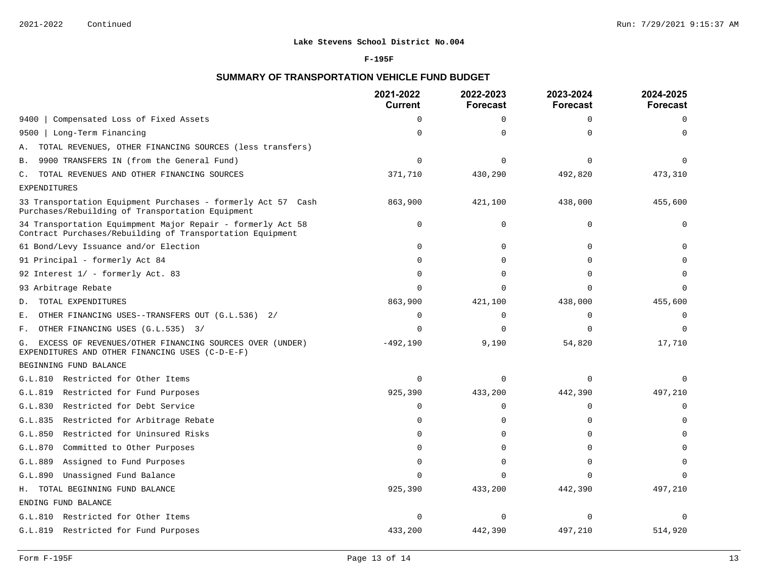### **F-195F**

# **SUMMARY OF TRANSPORTATION VEHICLE FUND BUDGET**

|                                                                                                                          | 2021-2022<br><b>Current</b> | 2022-2023<br><b>Forecast</b> | 2023-2024<br><b>Forecast</b> | 2024-2025<br><b>Forecast</b> |
|--------------------------------------------------------------------------------------------------------------------------|-----------------------------|------------------------------|------------------------------|------------------------------|
| Compensated Loss of Fixed Assets<br>9400                                                                                 | $\Omega$                    | $\Omega$                     | $\Omega$                     | $\Omega$                     |
| Long-Term Financing<br>9500                                                                                              | $\Omega$                    | 0                            | $\Omega$                     |                              |
| TOTAL REVENUES, OTHER FINANCING SOURCES (less transfers)<br>Α.                                                           |                             |                              |                              |                              |
| 9900 TRANSFERS IN (from the General Fund)<br>В.                                                                          | $\Omega$                    | $\Omega$                     | $\Omega$                     |                              |
| TOTAL REVENUES AND OTHER FINANCING SOURCES<br>С.                                                                         | 371,710                     | 430,290                      | 492,820                      | 473,310                      |
| <b>EXPENDITURES</b>                                                                                                      |                             |                              |                              |                              |
| 33 Transportation Equipment Purchases - formerly Act 57 Cash<br>Purchases/Rebuilding of Transportation Equipment         | 863,900                     | 421,100                      | 438,000                      | 455,600                      |
| 34 Transportation Equimpment Major Repair - formerly Act 58<br>Contract Purchases/Rebuilding of Transportation Equipment | $\Omega$                    | $\Omega$                     | $\Omega$                     | $\Omega$                     |
| 61 Bond/Levy Issuance and/or Election                                                                                    | $\Omega$                    | $\Omega$                     | $\Omega$                     |                              |
| 91 Principal - formerly Act 84                                                                                           | $\cap$                      | $\Omega$                     | ∩                            |                              |
| 92 Interest 1/ - formerly Act. 83                                                                                        | $\Omega$                    | 0                            | ∩                            |                              |
| 93 Arbitrage Rebate                                                                                                      | ∩                           | $\Omega$                     | ∩                            |                              |
| TOTAL EXPENDITURES<br>D.                                                                                                 | 863,900                     | 421,100                      | 438,000                      | 455,600                      |
| OTHER FINANCING USES--TRANSFERS OUT (G.L.536) 2/<br>Ε.                                                                   | 0                           | 0                            | $\Omega$                     | $\Omega$                     |
| OTHER FINANCING USES (G.L.535) 3/<br>F.                                                                                  | $\Omega$                    | $\Omega$                     | ∩                            |                              |
| EXCESS OF REVENUES/OTHER FINANCING SOURCES OVER (UNDER)<br>G.<br>EXPENDITURES AND OTHER FINANCING USES (C-D-E-F)         | $-492,190$                  | 9,190                        | 54,820                       | 17,710                       |
| BEGINNING FUND BALANCE                                                                                                   |                             |                              |                              |                              |
| G.L.810 Restricted for Other Items                                                                                       | $\Omega$                    | $\Omega$                     | $\Omega$                     | ∩                            |
| Restricted for Fund Purposes<br>G.L.819                                                                                  | 925,390                     | 433,200                      | 442,390                      | 497,210                      |
| Restricted for Debt Service<br>G.L.830                                                                                   | 0                           | 0                            | $\Omega$                     | $\Omega$                     |
| G.L.835<br>Restricted for Arbitrage Rebate                                                                               | $\cap$                      | U                            | ∩                            |                              |
| G.L.850<br>Restricted for Uninsured Risks                                                                                | $\Omega$                    | 0                            | ∩                            |                              |
| G.L.870<br>Committed to Other Purposes                                                                                   | $\Omega$                    | 0                            | $\Omega$                     |                              |
| Assigned to Fund Purposes<br>G.L.889                                                                                     | $\Omega$                    | $\Omega$                     | ∩                            |                              |
| Unassigned Fund Balance<br>G.L.890                                                                                       | $\Omega$                    | $\Omega$                     | $\Omega$                     | $\Omega$                     |
| H. TOTAL BEGINNING FUND BALANCE                                                                                          | 925,390                     | 433,200                      | 442,390                      | 497,210                      |
| ENDING FUND BALANCE                                                                                                      |                             |                              |                              |                              |
| G.L.810 Restricted for Other Items                                                                                       | $\Omega$                    | $\Omega$                     | $\Omega$                     | ∩                            |
| G.L.819 Restricted for Fund Purposes                                                                                     | 433,200                     | 442,390                      | 497,210                      | 514,920                      |